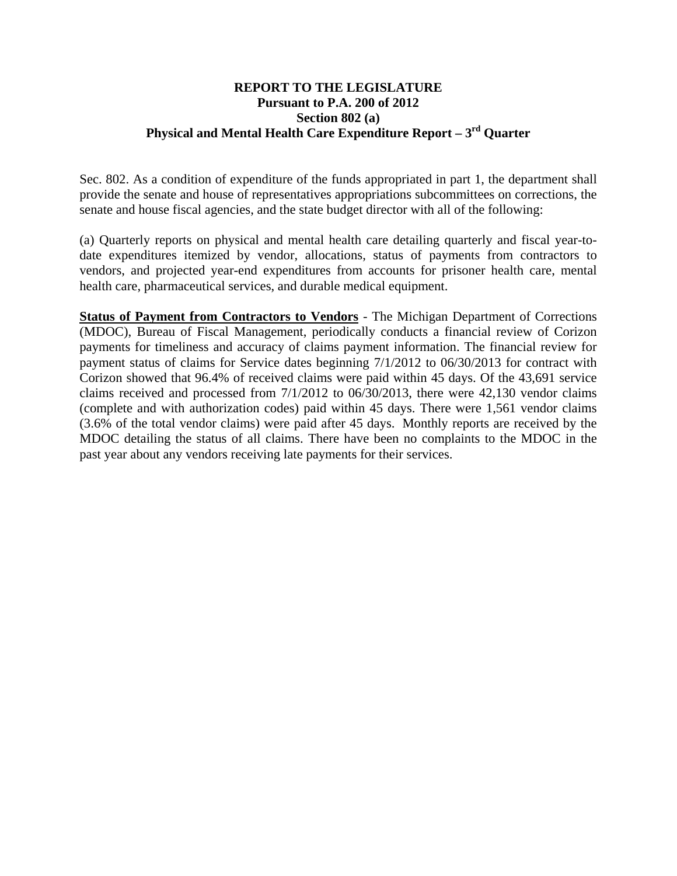## **REPORT TO THE LEGISLATURE Pursuant to P.A. 200 of 2012 Section 802 (a) Physical and Mental Health Care Expenditure Report – 3rd Quarter**

Sec. 802. As a condition of expenditure of the funds appropriated in part 1, the department shall provide the senate and house of representatives appropriations subcommittees on corrections, the senate and house fiscal agencies, and the state budget director with all of the following:

(a) Quarterly reports on physical and mental health care detailing quarterly and fiscal year-todate expenditures itemized by vendor, allocations, status of payments from contractors to vendors, and projected year-end expenditures from accounts for prisoner health care, mental health care, pharmaceutical services, and durable medical equipment.

**Status of Payment from Contractors to Vendors** - The Michigan Department of Corrections (MDOC), Bureau of Fiscal Management, periodically conducts a financial review of Corizon payments for timeliness and accuracy of claims payment information. The financial review for payment status of claims for Service dates beginning 7/1/2012 to 06/30/2013 for contract with Corizon showed that 96.4% of received claims were paid within 45 days. Of the 43,691 service claims received and processed from 7/1/2012 to 06/30/2013, there were 42,130 vendor claims (complete and with authorization codes) paid within 45 days. There were 1,561 vendor claims (3.6% of the total vendor claims) were paid after 45 days. Monthly reports are received by the MDOC detailing the status of all claims. There have been no complaints to the MDOC in the past year about any vendors receiving late payments for their services.